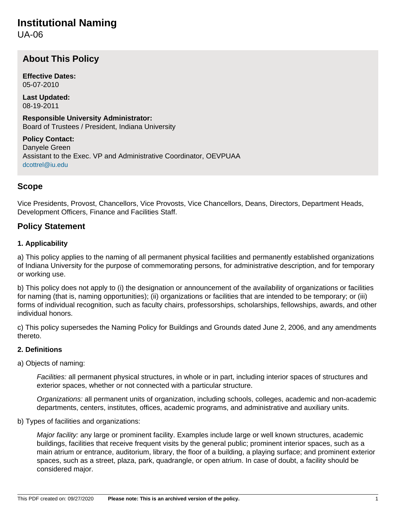# **Institutional Naming**

UA-06

# **About This Policy**

**Effective Dates:** 05-07-2010

**Last Updated:** 08-19-2011

**Responsible University Administrator:** Board of Trustees / President, Indiana University

**Policy Contact:** Danyele Green Assistant to the Exec. VP and Administrative Coordinator, OEVPUAA [dcottrel@iu.edu](mailto:dcottrel@iu.edu)

## **Scope**

Vice Presidents, Provost, Chancellors, Vice Provosts, Vice Chancellors, Deans, Directors, Department Heads, Development Officers, Finance and Facilities Staff.

### **Policy Statement**

#### **1. Applicability**

a) This policy applies to the naming of all permanent physical facilities and permanently established organizations of Indiana University for the purpose of commemorating persons, for administrative description, and for temporary or working use.

b) This policy does not apply to (i) the designation or announcement of the availability of organizations or facilities for naming (that is, naming opportunities); (ii) organizations or facilities that are intended to be temporary; or (iii) forms of individual recognition, such as faculty chairs, professorships, scholarships, fellowships, awards, and other individual honors.

c) This policy supersedes the Naming Policy for Buildings and Grounds dated June 2, 2006, and any amendments thereto.

#### **2. Definitions**

#### a) Objects of naming:

Facilities: all permanent physical structures, in whole or in part, including interior spaces of structures and exterior spaces, whether or not connected with a particular structure.

Organizations: all permanent units of organization, including schools, colleges, academic and non-academic departments, centers, institutes, offices, academic programs, and administrative and auxiliary units.

b) Types of facilities and organizations:

Major facility: any large or prominent facility. Examples include large or well known structures, academic buildings, facilities that receive frequent visits by the general public; prominent interior spaces, such as a main atrium or entrance, auditorium, library, the floor of a building, a playing surface; and prominent exterior spaces, such as a street, plaza, park, quadrangle, or open atrium. In case of doubt, a facility should be considered major.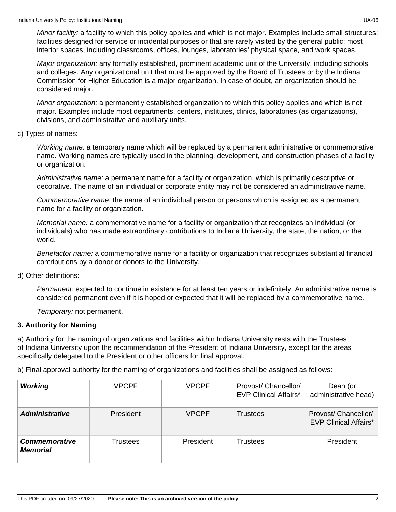Minor facility: a facility to which this policy applies and which is not major. Examples include small structures; facilities designed for service or incidental purposes or that are rarely visited by the general public; most interior spaces, including classrooms, offices, lounges, laboratories' physical space, and work spaces.

Major organization: any formally established, prominent academic unit of the University, including schools and colleges. Any organizational unit that must be approved by the Board of Trustees or by the Indiana Commission for Higher Education is a major organization. In case of doubt, an organization should be considered major.

Minor organization: a permanently established organization to which this policy applies and which is not major. Examples include most departments, centers, institutes, clinics, laboratories (as organizations), divisions, and administrative and auxiliary units.

#### c) Types of names:

Working name: a temporary name which will be replaced by a permanent administrative or commemorative name. Working names are typically used in the planning, development, and construction phases of a facility or organization.

Administrative name: a permanent name for a facility or organization, which is primarily descriptive or decorative. The name of an individual or corporate entity may not be considered an administrative name.

Commemorative name: the name of an individual person or persons which is assigned as a permanent name for a facility or organization.

Memorial name: a commemorative name for a facility or organization that recognizes an individual (or individuals) who has made extraordinary contributions to Indiana University, the state, the nation, or the world.

Benefactor name: a commemorative name for a facility or organization that recognizes substantial financial contributions by a donor or donors to the University.

#### d) Other definitions:

Permanent: expected to continue in existence for at least ten years or indefinitely. An administrative name is considered permanent even if it is hoped or expected that it will be replaced by a commemorative name.

Temporary: not permanent.

#### **3. Authority for Naming**

a) Authority for the naming of organizations and facilities within Indiana University rests with the Trustees of Indiana University upon the recommendation of the President of Indiana University, except for the areas specifically delegated to the President or other officers for final approval.

b) Final approval authority for the naming of organizations and facilities shall be assigned as follows:

| <b>Working</b>                          | <b>VPCPF</b> | <b>VPCPF</b> | Provost/ Chancellor/<br><b>EVP Clinical Affairs*</b> | Dean (or<br>administrative head)                     |
|-----------------------------------------|--------------|--------------|------------------------------------------------------|------------------------------------------------------|
| <b>Administrative</b>                   | President    | <b>VPCPF</b> | Trustees                                             | Provost/ Chancellor/<br><b>EVP Clinical Affairs*</b> |
| <b>Commemorative</b><br><b>Memorial</b> | Trustees     | President    | Trustees                                             | President                                            |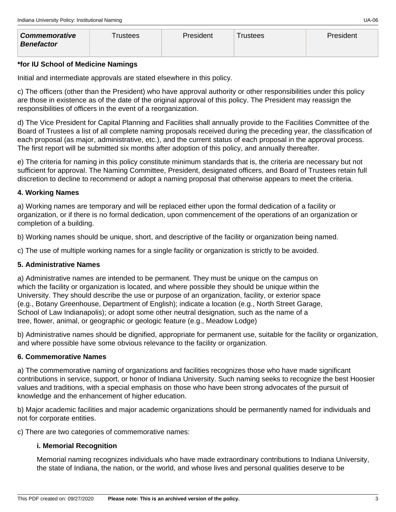| <b>Commemorative</b> | Γrustees | President | ™rustees | <b>President</b> |
|----------------------|----------|-----------|----------|------------------|
| <b>Benefactor</b>    |          |           |          |                  |

#### **\*for IU School of Medicine Namings**

Initial and intermediate approvals are stated elsewhere in this policy.

c) The officers (other than the President) who have approval authority or other responsibilities under this policy are those in existence as of the date of the original approval of this policy. The President may reassign the responsibilities of officers in the event of a reorganization.

d) The Vice President for Capital Planning and Facilities shall annually provide to the Facilities Committee of the Board of Trustees a list of all complete naming proposals received during the preceding year, the classification of each proposal (as major, administrative, etc.), and the current status of each proposal in the approval process. The first report will be submitted six months after adoption of this policy, and annually thereafter.

e) The criteria for naming in this policy constitute minimum standards that is, the criteria are necessary but not sufficient for approval. The Naming Committee, President, designated officers, and Board of Trustees retain full discretion to decline to recommend or adopt a naming proposal that otherwise appears to meet the criteria.

#### **4. Working Names**

a) Working names are temporary and will be replaced either upon the formal dedication of a facility or organization, or if there is no formal dedication, upon commencement of the operations of an organization or completion of a building.

b) Working names should be unique, short, and descriptive of the facility or organization being named.

c) The use of multiple working names for a single facility or organization is strictly to be avoided.

#### **5. Administrative Names**

a) Administrative names are intended to be permanent. They must be unique on the campus on which the facility or organization is located, and where possible they should be unique within the University. They should describe the use or purpose of an organization, facility, or exterior space (e.g., Botany Greenhouse, Department of English); indicate a location (e.g., North Street Garage, School of Law Indianapolis); or adopt some other neutral designation, such as the name of a tree, flower, animal, or geographic or geologic feature (e.g., Meadow Lodge)

b) Administrative names should be dignified, appropriate for permanent use, suitable for the facility or organization, and where possible have some obvious relevance to the facility or organization.

#### **6. Commemorative Names**

a) The commemorative naming of organizations and facilities recognizes those who have made significant contributions in service, support, or honor of Indiana University. Such naming seeks to recognize the best Hoosier values and traditions, with a special emphasis on those who have been strong advocates of the pursuit of knowledge and the enhancement of higher education.

b) Major academic facilities and major academic organizations should be permanently named for individuals and not for corporate entities.

c) There are two categories of commemorative names:

#### **i. Memorial Recognition**

Memorial naming recognizes individuals who have made extraordinary contributions to Indiana University, the state of Indiana, the nation, or the world, and whose lives and personal qualities deserve to be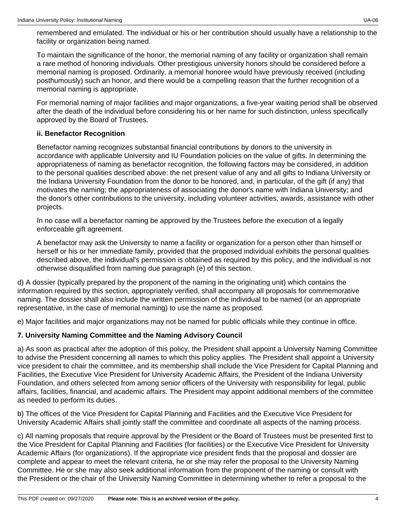remembered and emulated. The individual or his or her contribution should usually have a relationship to the facility or organization being named.

To maintain the significance of the honor, the memorial naming of any facility or organization shall remain a rare method of honoring individuals. Other prestigious university honors should be considered before a memorial naming is proposed. Ordinarily, a memorial honoree would have previously received (including posthumously) such an honor, and there would be a compelling reason that the further recognition of a memorial naming is appropriate.

For memorial naming of major facilities and major organizations, a five-year waiting period shall be observed after the death of the individual before considering his or her name for such distinction, unless specifically approved by the Board of Trustees.

#### **ii. Benefactor Recognition**

Benefactor naming recognizes substantial financial contributions by donors to the university in accordance with applicable University and IU Foundation policies on the value of gifts. In determining the appropriateness of naming as benefactor recognition, the following factors may be considered, in addition to the personal qualities described above: the net present value of any and all gifts to Indiana University or the Indiana University Foundation from the donor to be honored, and, in particular, of the gift (if any) that motivates the naming; the appropriateness of associating the donor's name with Indiana University; and the donor's other contributions to the university, including volunteer activities, awards, assistance with other projects.

In no case will a benefactor naming be approved by the Trustees before the execution of a legally enforceable gift agreement.

A benefactor may ask the University to name a facility or organization for a person other than himself or herself or his or her immediate family, provided that the proposed individual exhibits the personal qualities described above, the individual's permission is obtained as required by this policy, and the individual is not otherwise disqualified from naming due paragraph (e) of this section.

d) A dossier (typically prepared by the proponent of the naming in the originating unit) which contains the information required by this section, appropriately verified, shall accompany all proposals for commemorative naming. The dossier shall also include the written permission of the individual to be named (or an appropriate representative, in the case of memorial naming) to use the name as proposed.

e) Major facilities and major organizations may not be named for public officials while they continue in office.

#### **7. University Naming Committee and the Naming Advisory Council**

a) As soon as practical after the adoption of this policy, the President shall appoint a University Naming Committee to advise the President concerning all names to which this policy applies. The President shall appoint a University vice president to chair the committee, and its membership shall include the Vice President for Capital Planning and Facilities, the Executive Vice President for University Academic Affairs, the President of the Indiana University Foundation, and others selected from among senior officers of the University with responsibility for legal, public affairs, facilities, financial, and academic affairs. The President may appoint additional members of the committee as needed to perform its duties.

b) The offices of the Vice President for Capital Planning and Facilities and the Executive Vice President for University Academic Affairs shall jointly staff the committee and coordinate all aspects of the naming process.

c) All naming proposals that require approval by the President or the Board of Trustees must be presented first to the Vice President for Capital Planning and Facilities (for facilities) or the Executive Vice President for University Academic Affairs (for organizations). If the appropriate vice president finds that the proposal and dossier are complete and appear to meet the relevant criteria, he or she may refer the proposal to the University Naming Committee. He or she may also seek additional information from the proponent of the naming or consult with the President or the chair of the University Naming Committee in determining whether to refer a proposal to the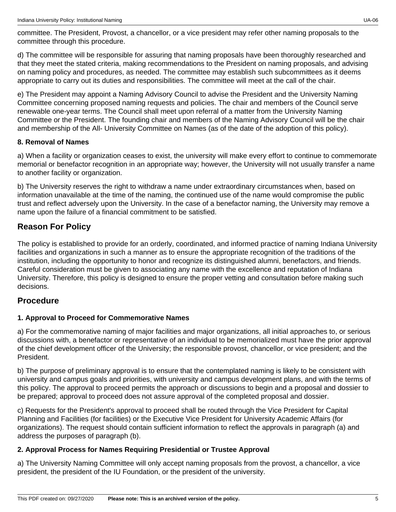d) The committee will be responsible for assuring that naming proposals have been thoroughly researched and that they meet the stated criteria, making recommendations to the President on naming proposals, and advising on naming policy and procedures, as needed. The committee may establish such subcommittees as it deems appropriate to carry out its duties and responsibilities. The committee will meet at the call of the chair.

e) The President may appoint a Naming Advisory Council to advise the President and the University Naming Committee concerning proposed naming requests and policies. The chair and members of the Council serve renewable one-year terms. The Council shall meet upon referral of a matter from the University Naming Committee or the President. The founding chair and members of the Naming Advisory Council will be the chair and membership of the All- University Committee on Names (as of the date of the adoption of this policy).

#### **8. Removal of Names**

a) When a facility or organization ceases to exist, the university will make every effort to continue to commemorate memorial or benefactor recognition in an appropriate way; however, the University will not usually transfer a name to another facility or organization.

b) The University reserves the right to withdraw a name under extraordinary circumstances when, based on information unavailable at the time of the naming, the continued use of the name would compromise the public trust and reflect adversely upon the University. In the case of a benefactor naming, the University may remove a name upon the failure of a financial commitment to be satisfied.

# **Reason For Policy**

The policy is established to provide for an orderly, coordinated, and informed practice of naming Indiana University facilities and organizations in such a manner as to ensure the appropriate recognition of the traditions of the institution, including the opportunity to honor and recognize its distinguished alumni, benefactors, and friends. Careful consideration must be given to associating any name with the excellence and reputation of Indiana University. Therefore, this policy is designed to ensure the proper vetting and consultation before making such decisions.

# **Procedure**

### **1. Approval to Proceed for Commemorative Names**

a) For the commemorative naming of major facilities and major organizations, all initial approaches to, or serious discussions with, a benefactor or representative of an individual to be memorialized must have the prior approval of the chief development officer of the University; the responsible provost, chancellor, or vice president; and the President.

b) The purpose of preliminary approval is to ensure that the contemplated naming is likely to be consistent with university and campus goals and priorities, with university and campus development plans, and with the terms of this policy. The approval to proceed permits the approach or discussions to begin and a proposal and dossier to be prepared; approval to proceed does not assure approval of the completed proposal and dossier.

c) Requests for the President's approval to proceed shall be routed through the Vice President for Capital Planning and Facilities (for facilities) or the Executive Vice President for University Academic Affairs (for organizations). The request should contain sufficient information to reflect the approvals in paragraph (a) and address the purposes of paragraph (b).

### **2. Approval Process for Names Requiring Presidential or Trustee Approval**

a) The University Naming Committee will only accept naming proposals from the provost, a chancellor, a vice president, the president of the IU Foundation, or the president of the university.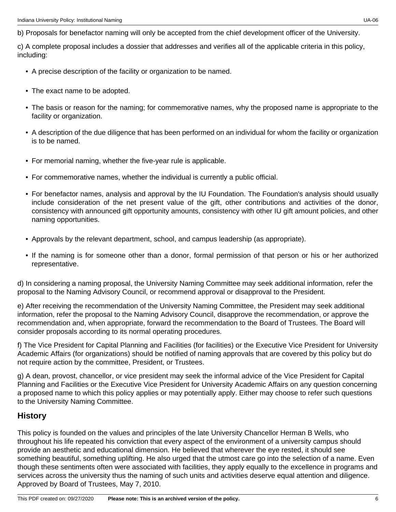b) Proposals for benefactor naming will only be accepted from the chief development officer of the University.

c) A complete proposal includes a dossier that addresses and verifies all of the applicable criteria in this policy, including:

- A precise description of the facility or organization to be named.
- The exact name to be adopted.
- The basis or reason for the naming; for commemorative names, why the proposed name is appropriate to the facility or organization.
- A description of the due diligence that has been performed on an individual for whom the facility or organization is to be named.
- For memorial naming, whether the five-year rule is applicable.
- For commemorative names, whether the individual is currently a public official.
- For benefactor names, analysis and approval by the IU Foundation. The Foundation's analysis should usually include consideration of the net present value of the gift, other contributions and activities of the donor, consistency with announced gift opportunity amounts, consistency with other IU gift amount policies, and other naming opportunities.
- Approvals by the relevant department, school, and campus leadership (as appropriate).
- If the naming is for someone other than a donor, formal permission of that person or his or her authorized representative.

d) In considering a naming proposal, the University Naming Committee may seek additional information, refer the proposal to the Naming Advisory Council, or recommend approval or disapproval to the President.

e) After receiving the recommendation of the University Naming Committee, the President may seek additional information, refer the proposal to the Naming Advisory Council, disapprove the recommendation, or approve the recommendation and, when appropriate, forward the recommendation to the Board of Trustees. The Board will consider proposals according to its normal operating procedures.

f) The Vice President for Capital Planning and Facilities (for facilities) or the Executive Vice President for University Academic Affairs (for organizations) should be notified of naming approvals that are covered by this policy but do not require action by the committee, President, or Trustees.

g) A dean, provost, chancellor, or vice president may seek the informal advice of the Vice President for Capital Planning and Facilities or the Executive Vice President for University Academic Affairs on any question concerning a proposed name to which this policy applies or may potentially apply. Either may choose to refer such questions to the University Naming Committee.

#### **History**

This policy is founded on the values and principles of the late University Chancellor Herman B Wells, who throughout his life repeated his conviction that every aspect of the environment of a university campus should provide an aesthetic and educational dimension. He believed that wherever the eye rested, it should see something beautiful, something uplifting. He also urged that the utmost care go into the selection of a name. Even though these sentiments often were associated with facilities, they apply equally to the excellence in programs and services across the university thus the naming of such units and activities deserve equal attention and diligence. Approved by Board of Trustees, May 7, 2010.